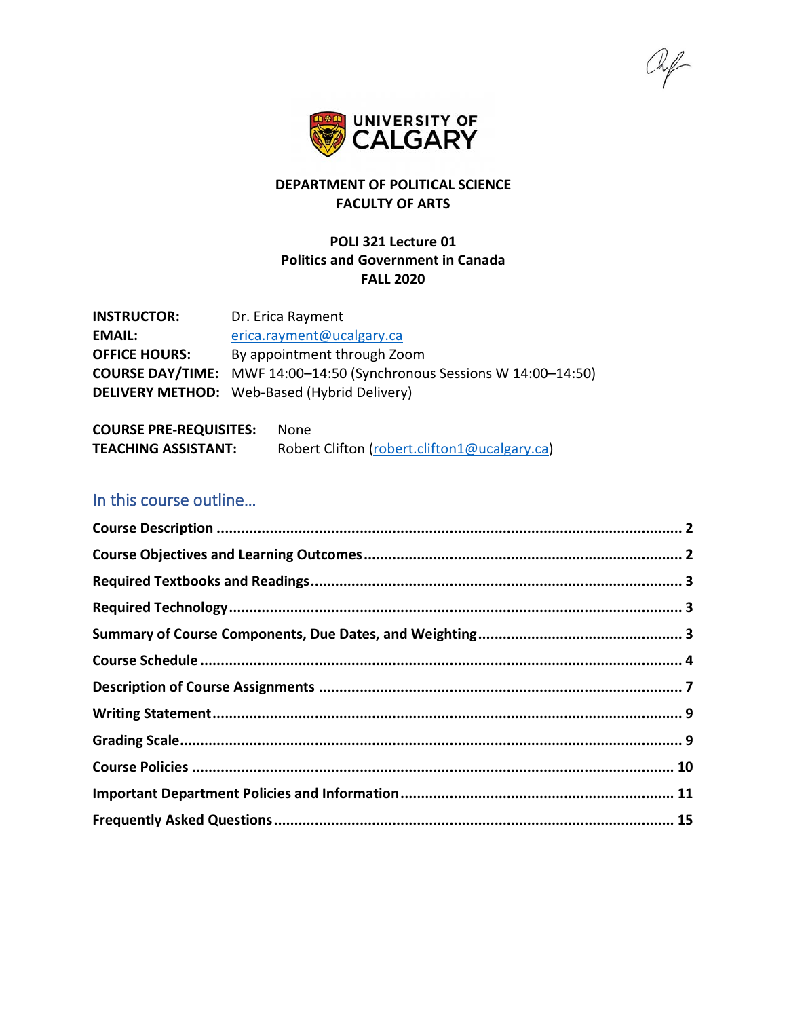

# **DEPARTMENT OF POLITICAL SCIENCE FACULTY OF ARTS**

### **POLI 321 Lecture 01 Politics and Government in Canada FALL 2020**

**INSTRUCTOR:** Dr. Erica Rayment EMAIL: [erica.rayment@ucalgary.ca](mailto:erica.rayment@ucalgary.ca) **OFFICE HOURS:** By appointment through Zoom **COURSE DAY/TIME:** MWF 14:00–14:50 (Synchronous Sessions W 14:00–14:50) **DELIVERY METHOD:** Web-Based (Hybrid Delivery)

**COURSE PRE-REQUISITES:** None **TEACHING ASSISTANT:** Robert Clifton [\(robert.clifton1@ucalgary.ca\)](mailto:robert.clifton1@ucalgary.ca)

# In this course outline…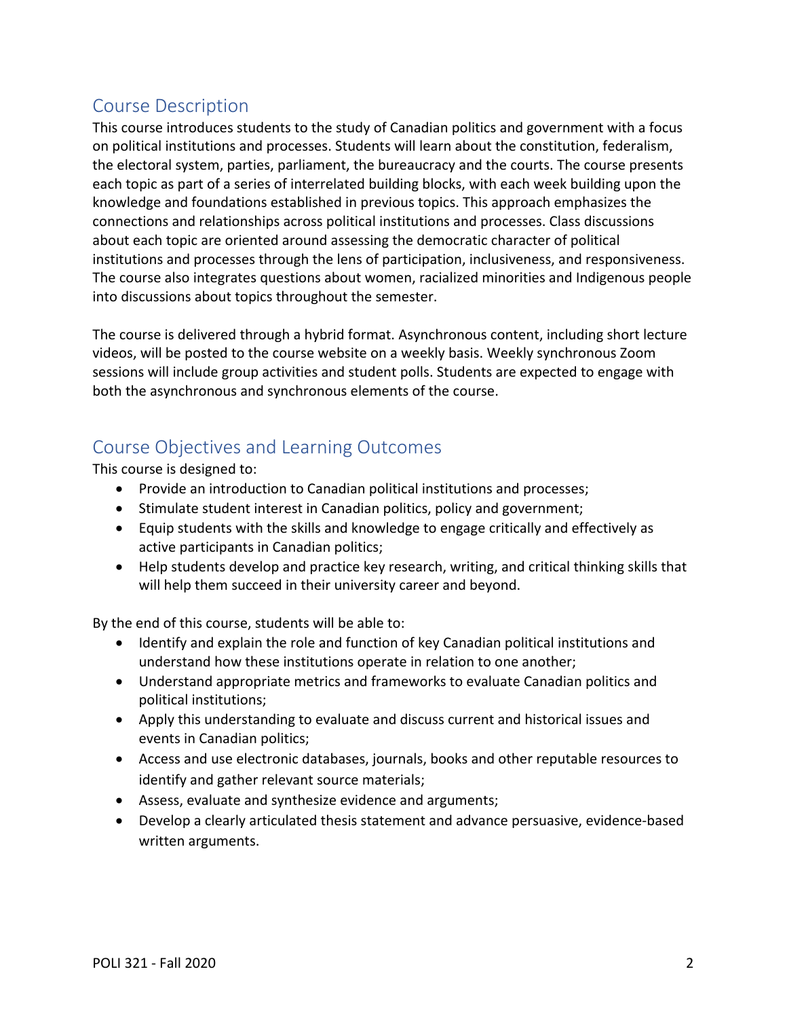# <span id="page-1-0"></span>Course Description

This course introduces students to the study of Canadian politics and government with a focus on political institutions and processes. Students will learn about the constitution, federalism, the electoral system, parties, parliament, the bureaucracy and the courts. The course presents each topic as part of a series of interrelated building blocks, with each week building upon the knowledge and foundations established in previous topics. This approach emphasizes the connections and relationships across political institutions and processes. Class discussions about each topic are oriented around assessing the democratic character of political institutions and processes through the lens of participation, inclusiveness, and responsiveness. The course also integrates questions about women, racialized minorities and Indigenous people into discussions about topics throughout the semester.

The course is delivered through a hybrid format. Asynchronous content, including short lecture videos, will be posted to the course website on a weekly basis. Weekly synchronous Zoom sessions will include group activities and student polls. Students are expected to engage with both the asynchronous and synchronous elements of the course.

# <span id="page-1-1"></span>Course Objectives and Learning Outcomes

This course is designed to:

- Provide an introduction to Canadian political institutions and processes;
- Stimulate student interest in Canadian politics, policy and government;
- Equip students with the skills and knowledge to engage critically and effectively as active participants in Canadian politics;
- Help students develop and practice key research, writing, and critical thinking skills that will help them succeed in their university career and beyond.

By the end of this course, students will be able to:

- Identify and explain the role and function of key Canadian political institutions and understand how these institutions operate in relation to one another;
- Understand appropriate metrics and frameworks to evaluate Canadian politics and political institutions;
- Apply this understanding to evaluate and discuss current and historical issues and events in Canadian politics;
- Access and use electronic databases, journals, books and other reputable resources to identify and gather relevant source materials;
- Assess, evaluate and synthesize evidence and arguments;
- Develop a clearly articulated thesis statement and advance persuasive, evidence-based written arguments.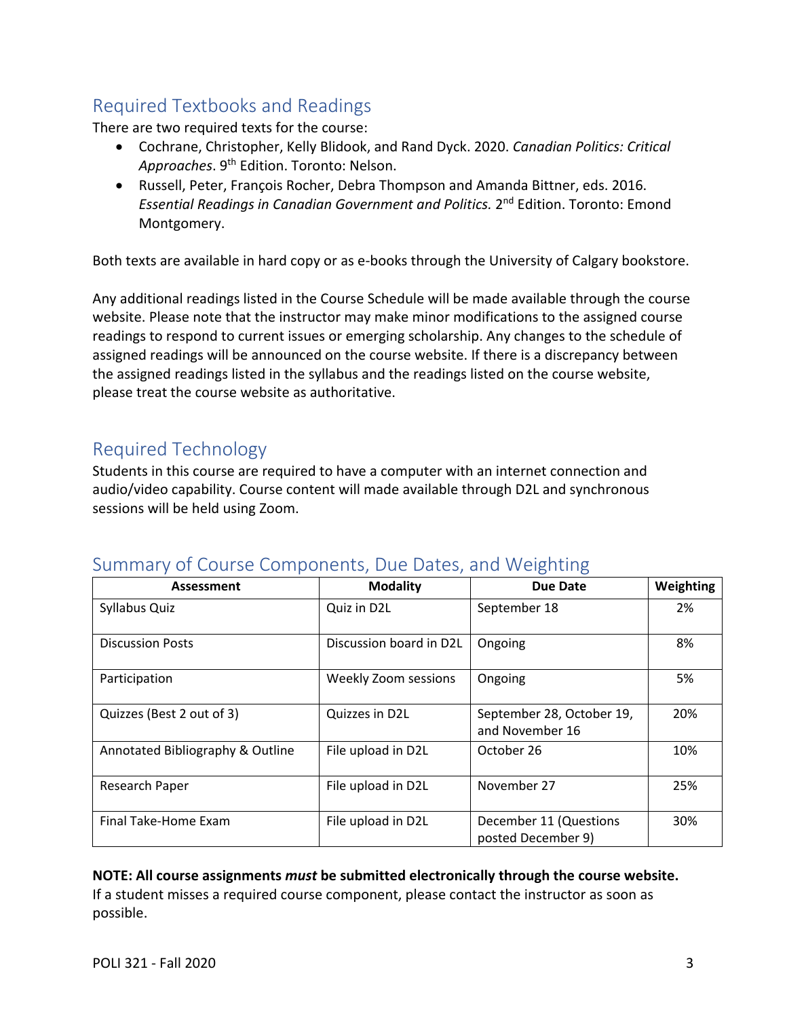# <span id="page-2-0"></span>Required Textbooks and Readings

There are two required texts for the course:

- Cochrane, Christopher, Kelly Blidook, and Rand Dyck. 2020. *Canadian Politics: Critical Approaches*. 9th Edition. Toronto: Nelson.
- Russell, Peter, François Rocher, Debra Thompson and Amanda Bittner, eds. 2016. *Essential Readings in Canadian Government and Politics.* 2nd Edition. Toronto: Emond Montgomery.

Both texts are available in hard copy or as e-books through the University of Calgary bookstore.

Any additional readings listed in the Course Schedule will be made available through the course website. Please note that the instructor may make minor modifications to the assigned course readings to respond to current issues or emerging scholarship. Any changes to the schedule of assigned readings will be announced on the course website. If there is a discrepancy between the assigned readings listed in the syllabus and the readings listed on the course website, please treat the course website as authoritative.

# <span id="page-2-1"></span>Required Technology

Students in this course are required to have a computer with an internet connection and audio/video capability. Course content will made available through D2L and synchronous sessions will be held using Zoom.

# <span id="page-2-2"></span>Summary of Course Components, Due Dates, and Weighting

| Assessment                       | <b>Modality</b>         | <b>Due Date</b>                              | Weighting |
|----------------------------------|-------------------------|----------------------------------------------|-----------|
| Syllabus Quiz                    | Quiz in D2L             | September 18                                 | 2%        |
| <b>Discussion Posts</b>          | Discussion board in D2L | Ongoing                                      | 8%        |
| Participation                    | Weekly Zoom sessions    | Ongoing                                      | 5%        |
| Quizzes (Best 2 out of 3)        | Quizzes in D2L          | September 28, October 19,<br>and November 16 | 20%       |
| Annotated Bibliography & Outline | File upload in D2L      | October 26                                   | 10%       |
| Research Paper                   | File upload in D2L      | November 27                                  | 25%       |
| Final Take-Home Exam             | File upload in D2L      | December 11 (Questions<br>posted December 9) | 30%       |

#### **NOTE: All course assignments** *must* **be submitted electronically through the course website.**

If a student misses a required course component, please contact the instructor as soon as possible.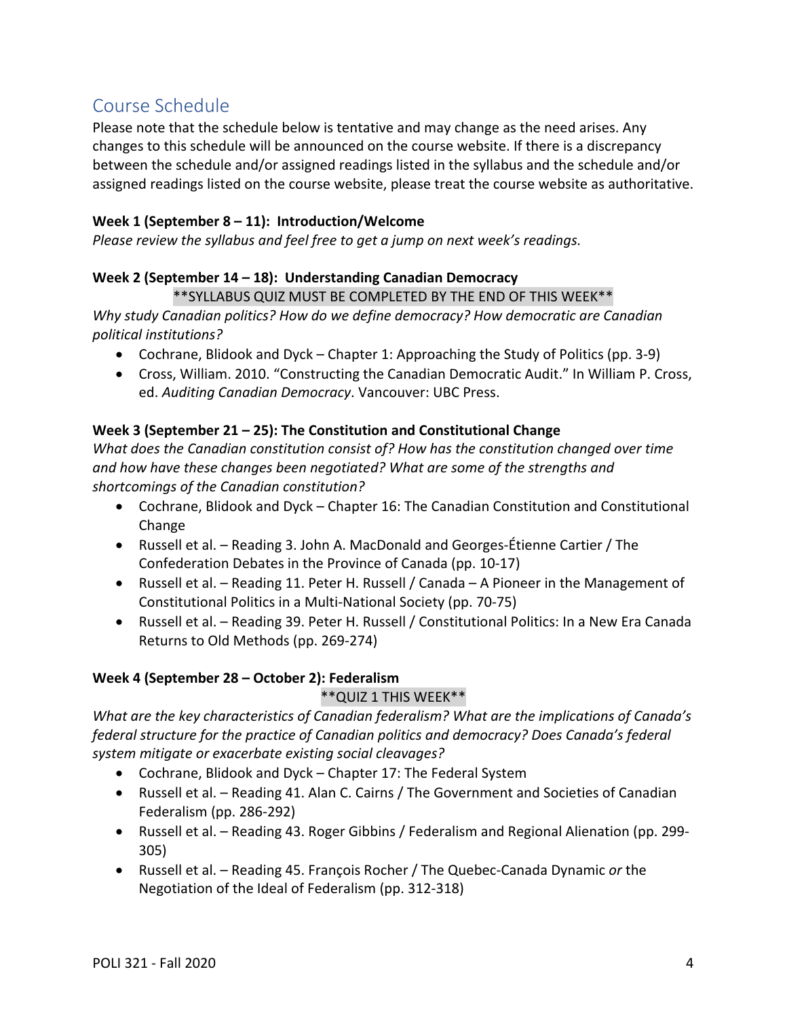# <span id="page-3-0"></span>Course Schedule

Please note that the schedule below is tentative and may change as the need arises. Any changes to this schedule will be announced on the course website. If there is a discrepancy between the schedule and/or assigned readings listed in the syllabus and the schedule and/or assigned readings listed on the course website, please treat the course website as authoritative.

# **Week 1 (September 8 – 11): Introduction/Welcome**

*Please review the syllabus and feel free to get a jump on next week's readings.*

# **Week 2 (September 14 – 18): Understanding Canadian Democracy**

#### \*\*SYLLABUS QUIZ MUST BE COMPLETED BY THE END OF THIS WEEK\*\*

*Why study Canadian politics? How do we define democracy? How democratic are Canadian political institutions?*

- Cochrane, Blidook and Dyck Chapter 1: Approaching the Study of Politics (pp. 3-9)
- Cross, William. 2010. "Constructing the Canadian Democratic Audit." In William P. Cross, ed. *Auditing Canadian Democracy*. Vancouver: UBC Press.

#### **Week 3 (September 21 – 25): The Constitution and Constitutional Change**

*What does the Canadian constitution consist of? How has the constitution changed over time and how have these changes been negotiated? What are some of the strengths and shortcomings of the Canadian constitution?*

- Cochrane, Blidook and Dyck Chapter 16: The Canadian Constitution and Constitutional Change
- Russell et al. Reading 3. John A. MacDonald and Georges-Étienne Cartier / The Confederation Debates in the Province of Canada (pp. 10-17)
- Russell et al. Reading 11. Peter H. Russell / Canada A Pioneer in the Management of Constitutional Politics in a Multi-National Society (pp. 70-75)
- Russell et al. Reading 39. Peter H. Russell / Constitutional Politics: In a New Era Canada Returns to Old Methods (pp. 269-274)

# **Week 4 (September 28 – October 2): Federalism**

#### \*\*QUIZ 1 THIS WEEK\*\*

*What are the key characteristics of Canadian federalism? What are the implications of Canada's federal structure for the practice of Canadian politics and democracy? Does Canada's federal system mitigate or exacerbate existing social cleavages?*

- Cochrane, Blidook and Dyck Chapter 17: The Federal System
- Russell et al. Reading 41. Alan C. Cairns / The Government and Societies of Canadian Federalism (pp. 286-292)
- Russell et al. Reading 43. Roger Gibbins / Federalism and Regional Alienation (pp. 299- 305)
- Russell et al. Reading 45. François Rocher / The Quebec-Canada Dynamic *or* the Negotiation of the Ideal of Federalism (pp. 312-318)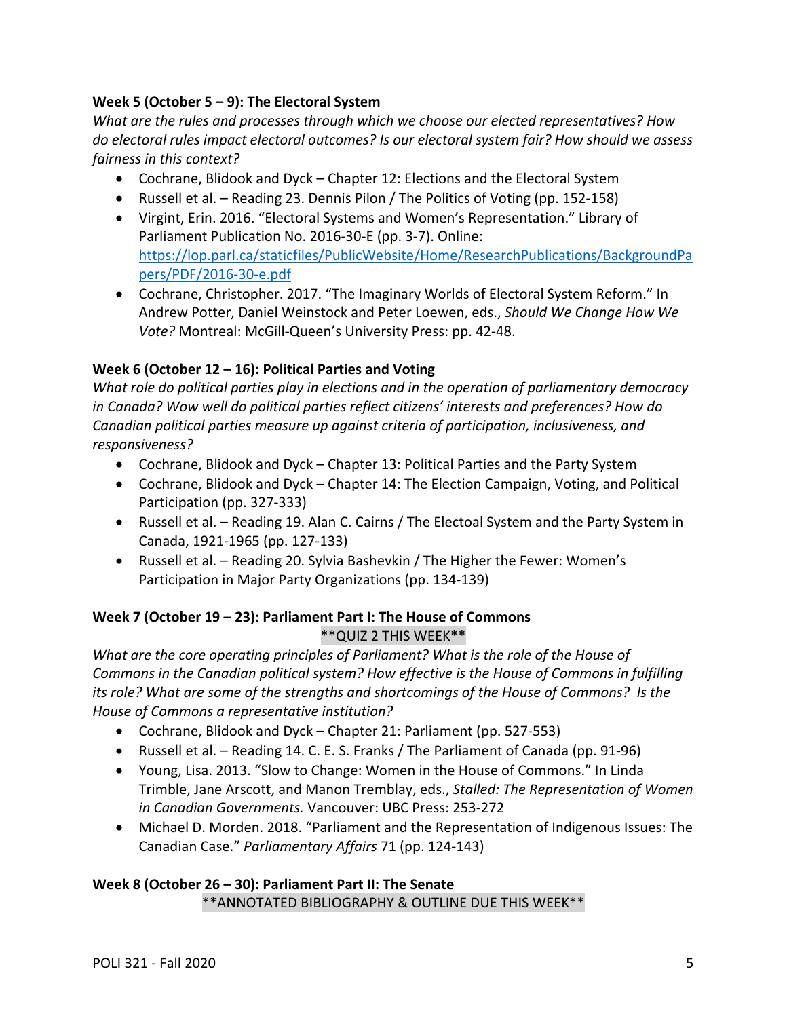# **Week 5 (October 5 – 9): The Electoral System**

*What are the rules and processes through which we choose our elected representatives? How do electoral rules impact electoral outcomes? Is our electoral system fair? How should we assess fairness in this context?*

- Cochrane, Blidook and Dyck Chapter 12: Elections and the Electoral System
- Russell et al. Reading 23. Dennis Pilon / The Politics of Voting (pp. 152-158)
- Virgint, Erin. 2016. "Electoral Systems and Women's Representation." Library of Parliament Publication No. 2016-30-E (pp. 3-7). Online: [https://lop.parl.ca/staticfiles/PublicWebsite/Home/ResearchPublications/BackgroundPa](https://lop.parl.ca/staticfiles/PublicWebsite/Home/ResearchPublications/BackgroundPapers/PDF/2016-30-e.pdf) [pers/PDF/2016-30-e.pdf](https://lop.parl.ca/staticfiles/PublicWebsite/Home/ResearchPublications/BackgroundPapers/PDF/2016-30-e.pdf)
- Cochrane, Christopher. 2017. "The Imaginary Worlds of Electoral System Reform." In Andrew Potter, Daniel Weinstock and Peter Loewen, eds., *Should We Change How We Vote?* Montreal: McGill-Queen's University Press: pp. 42-48.

# **Week 6 (October 12 – 16): Political Parties and Voting**

*What role do political parties play in elections and in the operation of parliamentary democracy in Canada? Wow well do political parties reflect citizens' interests and preferences? How do Canadian political parties measure up against criteria of participation, inclusiveness, and responsiveness?*

- Cochrane, Blidook and Dyck Chapter 13: Political Parties and the Party System
- Cochrane, Blidook and Dyck Chapter 14: The Election Campaign, Voting, and Political Participation (pp. 327-333)
- Russell et al. Reading 19. Alan C. Cairns / The Electoal System and the Party System in Canada, 1921-1965 (pp. 127-133)
- Russell et al. Reading 20. Sylvia Bashevkin / The Higher the Fewer: Women's Participation in Major Party Organizations (pp. 134-139)

# **Week 7 (October 19 – 23): Parliament Part I: The House of Commons**

\*\*QUIZ 2 THIS WEEK\*\*

*What are the core operating principles of Parliament? What is the role of the House of Commons in the Canadian political system? How effective is the House of Commons in fulfilling its role? What are some of the strengths and shortcomings of the House of Commons? Is the House of Commons a representative institution?* 

- Cochrane, Blidook and Dyck Chapter 21: Parliament (pp. 527-553)
- Russell et al. Reading 14. C. E. S. Franks / The Parliament of Canada (pp. 91-96)
- Young, Lisa. 2013. "Slow to Change: Women in the House of Commons." In Linda Trimble, Jane Arscott, and Manon Tremblay, eds., *Stalled: The Representation of Women in Canadian Governments.* Vancouver: UBC Press: 253-272
- Michael D. Morden. 2018. "Parliament and the Representation of Indigenous Issues: The Canadian Case." *Parliamentary Affairs* 71 (pp. 124-143)

# **Week 8 (October 26 – 30): Parliament Part II: The Senate**

\*\*ANNOTATED BIBLIOGRAPHY & OUTLINE DUE THIS WEEK\*\*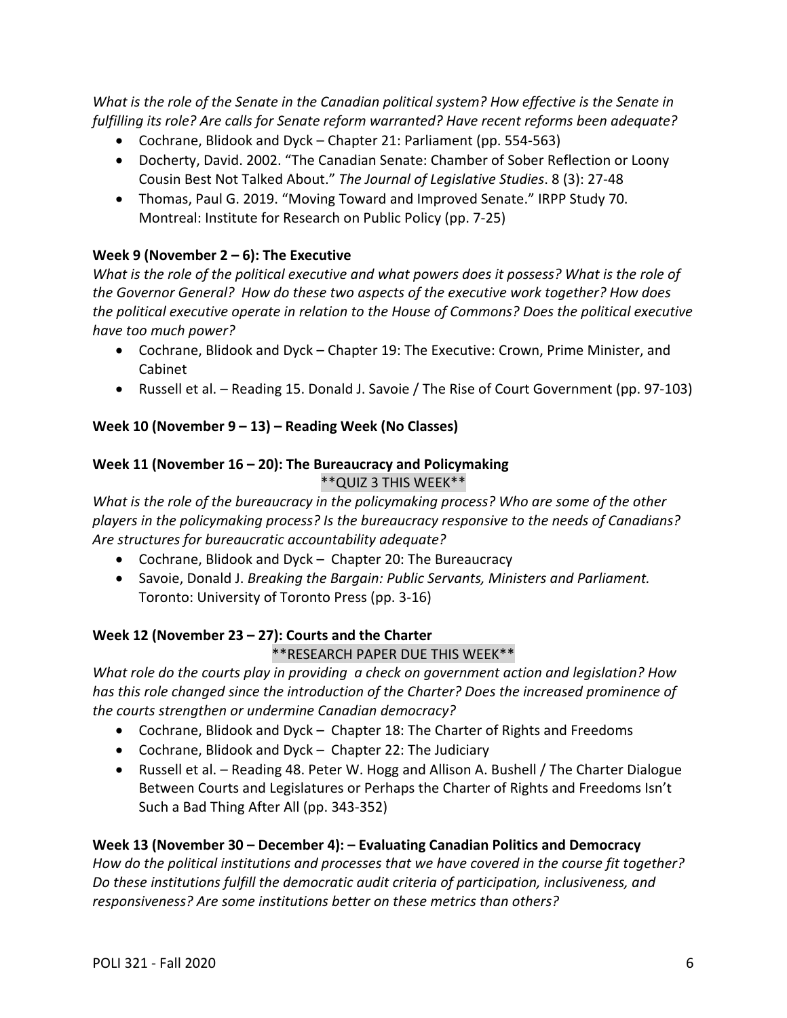*What is the role of the Senate in the Canadian political system? How effective is the Senate in fulfilling its role? Are calls for Senate reform warranted? Have recent reforms been adequate?*

- Cochrane, Blidook and Dyck Chapter 21: Parliament (pp. 554-563)
- Docherty, David. 2002. "The Canadian Senate: Chamber of Sober Reflection or Loony Cousin Best Not Talked About." *The Journal of Legislative Studies*. 8 (3): 27-48
- Thomas, Paul G. 2019. "Moving Toward and Improved Senate." IRPP Study 70. Montreal: Institute for Research on Public Policy (pp. 7-25)

# **Week 9 (November 2 – 6): The Executive**

*What is the role of the political executive and what powers does it possess? What is the role of the Governor General? How do these two aspects of the executive work together? How does the political executive operate in relation to the House of Commons? Does the political executive have too much power?*

- Cochrane, Blidook and Dyck Chapter 19: The Executive: Crown, Prime Minister, and Cabinet
- Russell et al. Reading 15. Donald J. Savoie / The Rise of Court Government (pp. 97-103)

# **Week 10 (November 9 – 13) – Reading Week (No Classes)**

#### **Week 11 (November 16 – 20): The Bureaucracy and Policymaking** \*\*QUIZ 3 THIS WEEK\*\*

*What is the role of the bureaucracy in the policymaking process? Who are some of the other players in the policymaking process? Is the bureaucracy responsive to the needs of Canadians? Are structures for bureaucratic accountability adequate?* 

- Cochrane, Blidook and Dyck Chapter 20: The Bureaucracy
- Savoie, Donald J. *Breaking the Bargain: Public Servants, Ministers and Parliament.* Toronto: University of Toronto Press (pp. 3-16)

# **Week 12 (November 23 – 27): Courts and the Charter**

# \*\*RESEARCH PAPER DUE THIS WEEK\*\*

*What role do the courts play in providing a check on government action and legislation? How has this role changed since the introduction of the Charter? Does the increased prominence of the courts strengthen or undermine Canadian democracy?* 

- Cochrane, Blidook and Dyck Chapter 18: The Charter of Rights and Freedoms
- Cochrane, Blidook and Dyck Chapter 22: The Judiciary
- Russell et al. Reading 48. Peter W. Hogg and Allison A. Bushell / The Charter Dialogue Between Courts and Legislatures or Perhaps the Charter of Rights and Freedoms Isn't Such a Bad Thing After All (pp. 343-352)

# **Week 13 (November 30 – December 4): – Evaluating Canadian Politics and Democracy**

*How do the political institutions and processes that we have covered in the course fit together? Do these institutions fulfill the democratic audit criteria of participation, inclusiveness, and responsiveness? Are some institutions better on these metrics than others?*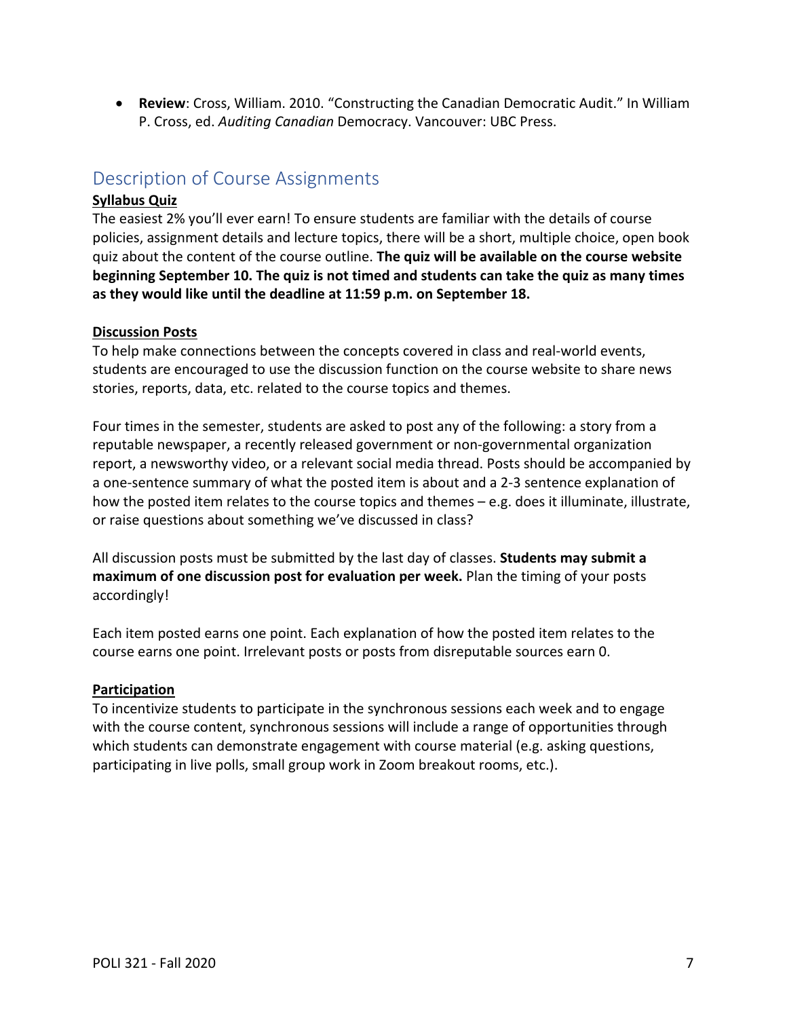• **Review**: Cross, William. 2010. "Constructing the Canadian Democratic Audit." In William P. Cross, ed. *Auditing Canadian* Democracy. Vancouver: UBC Press.

# <span id="page-6-0"></span>Description of Course Assignments

### **Syllabus Quiz**

The easiest 2% you'll ever earn! To ensure students are familiar with the details of course policies, assignment details and lecture topics, there will be a short, multiple choice, open book quiz about the content of the course outline. **The quiz will be available on the course website beginning September 10. The quiz is not timed and students can take the quiz as many times as they would like until the deadline at 11:59 p.m. on September 18.**

#### **Discussion Posts**

To help make connections between the concepts covered in class and real-world events, students are encouraged to use the discussion function on the course website to share news stories, reports, data, etc. related to the course topics and themes.

Four times in the semester, students are asked to post any of the following: a story from a reputable newspaper, a recently released government or non-governmental organization report, a newsworthy video, or a relevant social media thread. Posts should be accompanied by a one-sentence summary of what the posted item is about and a 2-3 sentence explanation of how the posted item relates to the course topics and themes - e.g. does it illuminate, illustrate, or raise questions about something we've discussed in class?

All discussion posts must be submitted by the last day of classes. **Students may submit a maximum of one discussion post for evaluation per week.** Plan the timing of your posts accordingly!

Each item posted earns one point. Each explanation of how the posted item relates to the course earns one point. Irrelevant posts or posts from disreputable sources earn 0.

# **Participation**

To incentivize students to participate in the synchronous sessions each week and to engage with the course content, synchronous sessions will include a range of opportunities through which students can demonstrate engagement with course material (e.g. asking questions, participating in live polls, small group work in Zoom breakout rooms, etc.).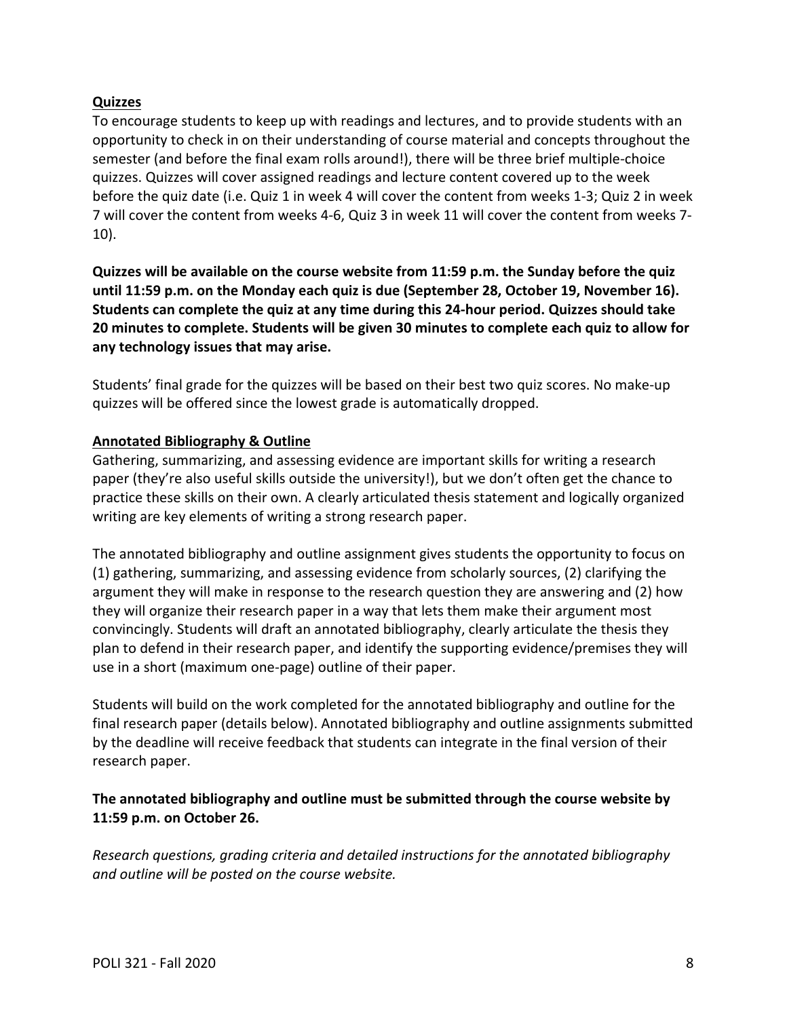### **Quizzes**

To encourage students to keep up with readings and lectures, and to provide students with an opportunity to check in on their understanding of course material and concepts throughout the semester (and before the final exam rolls around!), there will be three brief multiple-choice quizzes. Quizzes will cover assigned readings and lecture content covered up to the week before the quiz date (i.e. Quiz 1 in week 4 will cover the content from weeks 1-3; Quiz 2 in week 7 will cover the content from weeks 4-6, Quiz 3 in week 11 will cover the content from weeks 7- 10).

**Quizzes will be available on the course website from 11:59 p.m. the Sunday before the quiz until 11:59 p.m. on the Monday each quiz is due (September 28, October 19, November 16). Students can complete the quiz at any time during this 24-hour period. Quizzes should take 20 minutes to complete. Students will be given 30 minutes to complete each quiz to allow for any technology issues that may arise.**

Students' final grade for the quizzes will be based on their best two quiz scores. No make-up quizzes will be offered since the lowest grade is automatically dropped.

#### **Annotated Bibliography & Outline**

Gathering, summarizing, and assessing evidence are important skills for writing a research paper (they're also useful skills outside the university!), but we don't often get the chance to practice these skills on their own. A clearly articulated thesis statement and logically organized writing are key elements of writing a strong research paper.

The annotated bibliography and outline assignment gives students the opportunity to focus on (1) gathering, summarizing, and assessing evidence from scholarly sources, (2) clarifying the argument they will make in response to the research question they are answering and (2) how they will organize their research paper in a way that lets them make their argument most convincingly. Students will draft an annotated bibliography, clearly articulate the thesis they plan to defend in their research paper, and identify the supporting evidence/premises they will use in a short (maximum one-page) outline of their paper.

Students will build on the work completed for the annotated bibliography and outline for the final research paper (details below). Annotated bibliography and outline assignments submitted by the deadline will receive feedback that students can integrate in the final version of their research paper.

# **The annotated bibliography and outline must be submitted through the course website by 11:59 p.m. on October 26.**

*Research questions, grading criteria and detailed instructions for the annotated bibliography and outline will be posted on the course website.*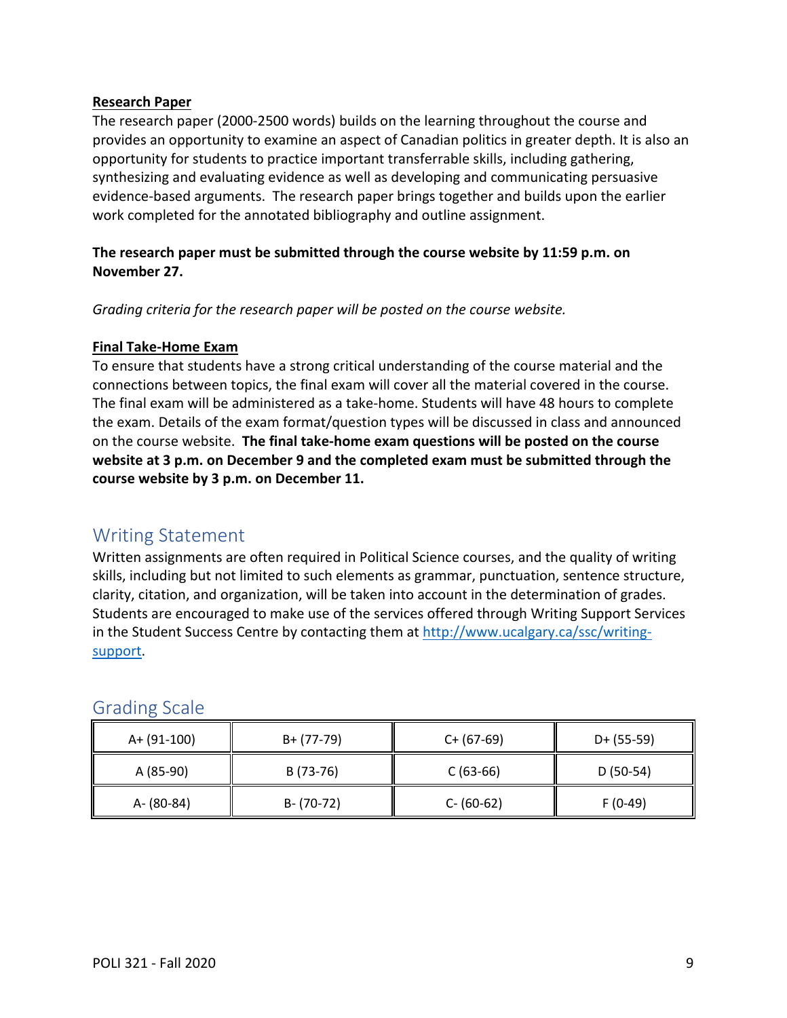#### **Research Paper**

The research paper (2000-2500 words) builds on the learning throughout the course and provides an opportunity to examine an aspect of Canadian politics in greater depth. It is also an opportunity for students to practice important transferrable skills, including gathering, synthesizing and evaluating evidence as well as developing and communicating persuasive evidence-based arguments. The research paper brings together and builds upon the earlier work completed for the annotated bibliography and outline assignment.

# **The research paper must be submitted through the course website by 11:59 p.m. on November 27.**

*Grading criteria for the research paper will be posted on the course website.* 

#### **Final Take-Home Exam**

To ensure that students have a strong critical understanding of the course material and the connections between topics, the final exam will cover all the material covered in the course. The final exam will be administered as a take-home. Students will have 48 hours to complete the exam. Details of the exam format/question types will be discussed in class and announced on the course website. **The final take-home exam questions will be posted on the course website at 3 p.m. on December 9 and the completed exam must be submitted through the course website by 3 p.m. on December 11.**

# <span id="page-8-0"></span>Writing Statement

Written assignments are often required in Political Science courses, and the quality of writing skills, including but not limited to such elements as grammar, punctuation, sentence structure, clarity, citation, and organization, will be taken into account in the determination of grades. Students are encouraged to make use of the services offered through Writing Support Services in the Student Success Centre by contacting them at [http://www.ucalgary.ca/ssc/writing](http://www.ucalgary.ca/ssc/writing-support)[support.](http://www.ucalgary.ca/ssc/writing-support)

# <span id="page-8-1"></span>Grading Scale

<span id="page-8-2"></span>

| A+ (91-100) | B+ (77-79)    | $C+ (67-69)$  | $D+ (55-59)$ |
|-------------|---------------|---------------|--------------|
| A (85-90)   | B (73-76)     | $C(63-66)$    | $D(50-54)$   |
| A- (80-84)  | $B - (70-72)$ | $C - (60-62)$ | $F(0-49)$    |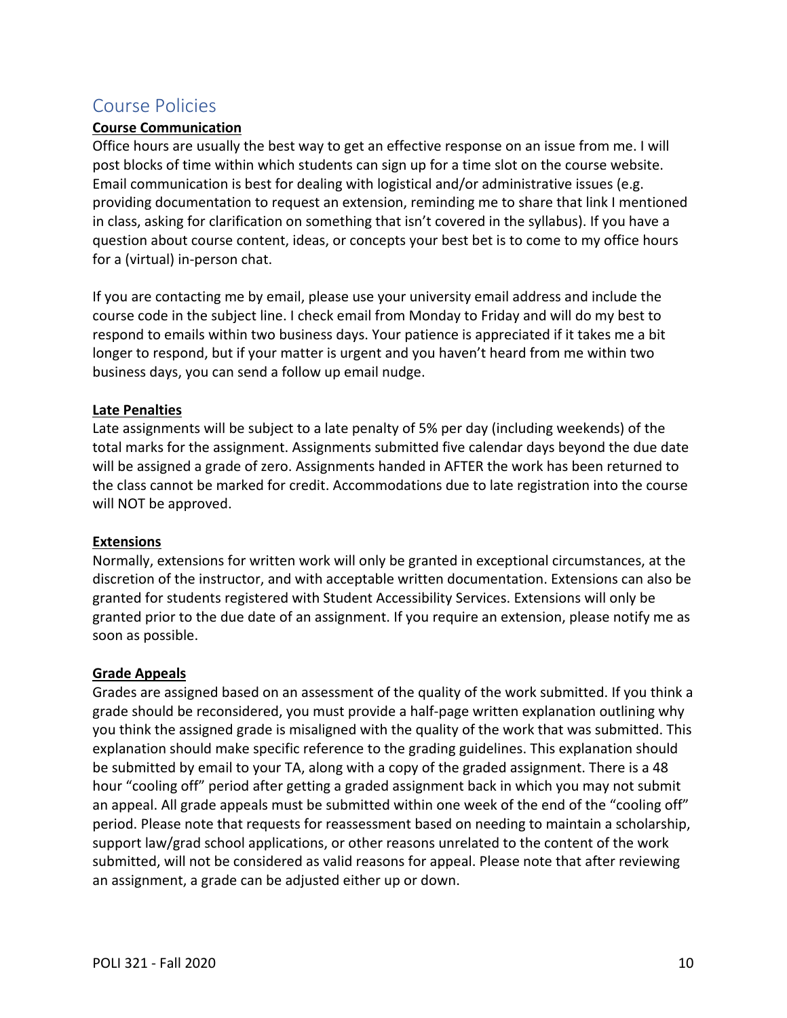# Course Policies

#### **Course Communication**

Office hours are usually the best way to get an effective response on an issue from me. I will post blocks of time within which students can sign up for a time slot on the course website. Email communication is best for dealing with logistical and/or administrative issues (e.g. providing documentation to request an extension, reminding me to share that link I mentioned in class, asking for clarification on something that isn't covered in the syllabus). If you have a question about course content, ideas, or concepts your best bet is to come to my office hours for a (virtual) in-person chat.

If you are contacting me by email, please use your university email address and include the course code in the subject line. I check email from Monday to Friday and will do my best to respond to emails within two business days. Your patience is appreciated if it takes me a bit longer to respond, but if your matter is urgent and you haven't heard from me within two business days, you can send a follow up email nudge.

#### **Late Penalties**

Late assignments will be subject to a late penalty of 5% per day (including weekends) of the total marks for the assignment. Assignments submitted five calendar days beyond the due date will be assigned a grade of zero. Assignments handed in AFTER the work has been returned to the class cannot be marked for credit. Accommodations due to late registration into the course will NOT be approved.

#### **Extensions**

Normally, extensions for written work will only be granted in exceptional circumstances, at the discretion of the instructor, and with acceptable written documentation. Extensions can also be granted for students registered with Student Accessibility Services. Extensions will only be granted prior to the due date of an assignment. If you require an extension, please notify me as soon as possible.

#### **Grade Appeals**

Grades are assigned based on an assessment of the quality of the work submitted. If you think a grade should be reconsidered, you must provide a half-page written explanation outlining why you think the assigned grade is misaligned with the quality of the work that was submitted. This explanation should make specific reference to the grading guidelines. This explanation should be submitted by email to your TA, along with a copy of the graded assignment. There is a 48 hour "cooling off" period after getting a graded assignment back in which you may not submit an appeal. All grade appeals must be submitted within one week of the end of the "cooling off" period. Please note that requests for reassessment based on needing to maintain a scholarship, support law/grad school applications, or other reasons unrelated to the content of the work submitted, will not be considered as valid reasons for appeal. Please note that after reviewing an assignment, a grade can be adjusted either up or down.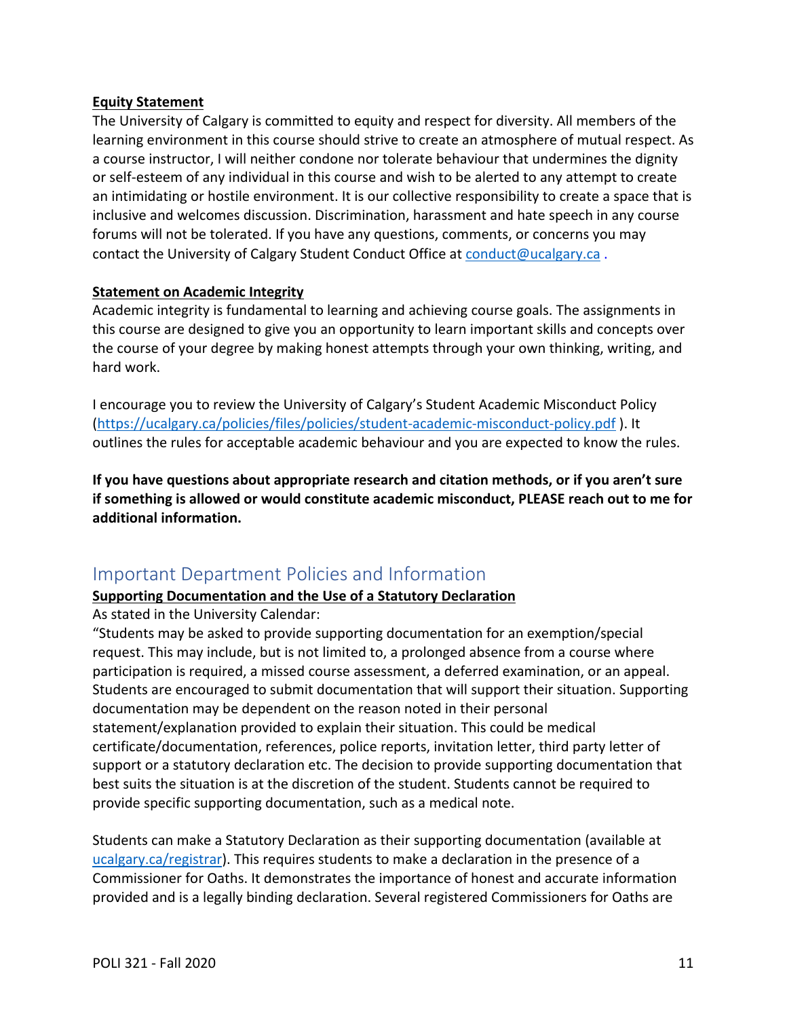#### **Equity Statement**

The University of Calgary is committed to equity and respect for diversity. All members of the learning environment in this course should strive to create an atmosphere of mutual respect. As a course instructor, I will neither condone nor tolerate behaviour that undermines the dignity or self-esteem of any individual in this course and wish to be alerted to any attempt to create an intimidating or hostile environment. It is our collective responsibility to create a space that is inclusive and welcomes discussion. Discrimination, harassment and hate speech in any course forums will not be tolerated. If you have any questions, comments, or concerns you may contact the University of Calgary Student Conduct Office at [conduct@ucalgary.ca](mailto:conduct@ucalgary.ca) .

#### **Statement on Academic Integrity**

Academic integrity is fundamental to learning and achieving course goals. The assignments in this course are designed to give you an opportunity to learn important skills and concepts over the course of your degree by making honest attempts through your own thinking, writing, and hard work.

I encourage you to review the University of Calgary's Student Academic Misconduct Policy [\(https://ucalgary.ca/policies/files/policies/student-academic-misconduct-policy.pdf](https://ucalgary.ca/policies/files/policies/student-academic-misconduct-policy.pdf) ). It outlines the rules for acceptable academic behaviour and you are expected to know the rules.

**If you have questions about appropriate research and citation methods, or if you aren't sure if something is allowed or would constitute academic misconduct, PLEASE reach out to me for additional information.** 

# <span id="page-10-0"></span>Important Department Policies and Information

# **Supporting Documentation and the Use of a Statutory Declaration**

As stated in the University Calendar:

"Students may be asked to provide supporting documentation for an exemption/special request. This may include, but is not limited to, a prolonged absence from a course where participation is required, a missed course assessment, a deferred examination, or an appeal. Students are encouraged to submit documentation that will support their situation. Supporting documentation may be dependent on the reason noted in their personal statement/explanation provided to explain their situation. This could be medical certificate/documentation, references, police reports, invitation letter, third party letter of support or a statutory declaration etc. The decision to provide supporting documentation that best suits the situation is at the discretion of the student. Students cannot be required to provide specific supporting documentation, such as a medical note.

Students can make a Statutory Declaration as their supporting documentation (available at [ucalgary.ca/registrar\)](http://www.ucalgary.ca/registrar). This requires students to make a declaration in the presence of a Commissioner for Oaths. It demonstrates the importance of honest and accurate information provided and is a legally binding declaration. Several registered Commissioners for Oaths are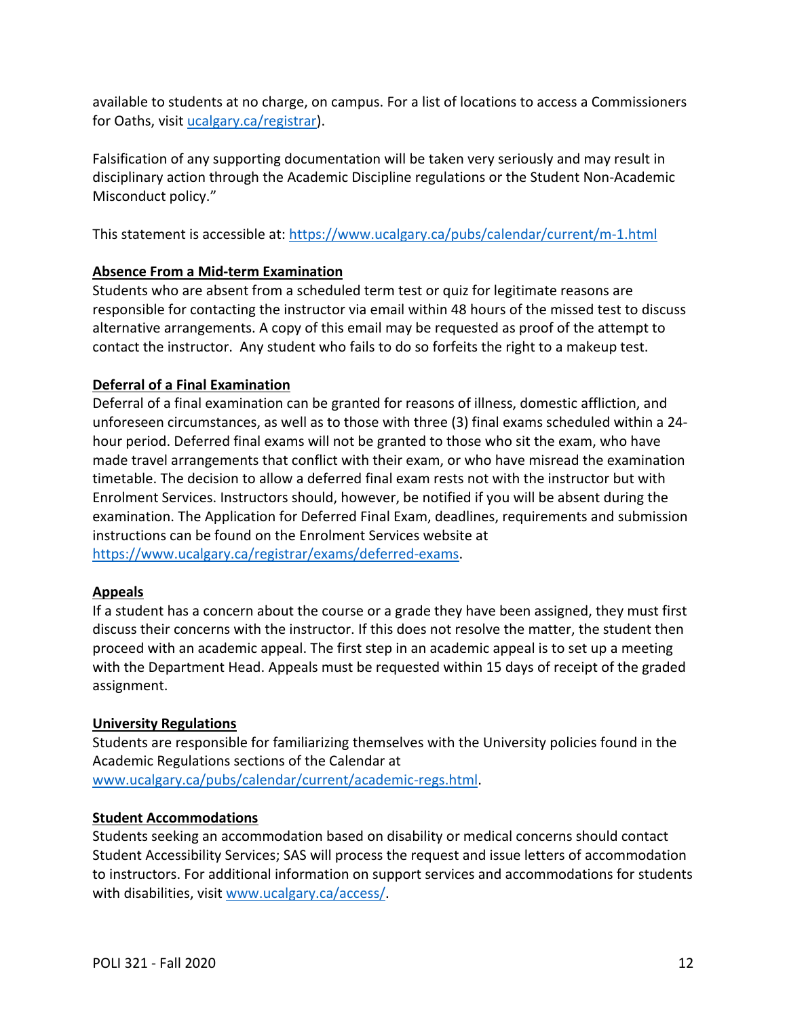available to students at no charge, on campus. For a list of locations to access a Commissioners for Oaths, visit [ucalgary.ca/registrar\)](http://www.ucalgary.ca/registrar).

Falsification of any supporting documentation will be taken very seriously and may result in disciplinary action through the Academic Discipline regulations or the Student Non-Academic Misconduct policy."

This statement is accessible at:<https://www.ucalgary.ca/pubs/calendar/current/m-1.html>

# **Absence From a Mid-term Examination**

Students who are absent from a scheduled term test or quiz for legitimate reasons are responsible for contacting the instructor via email within 48 hours of the missed test to discuss alternative arrangements. A copy of this email may be requested as proof of the attempt to contact the instructor. Any student who fails to do so forfeits the right to a makeup test.

# **Deferral of a Final Examination**

Deferral of a final examination can be granted for reasons of illness, domestic affliction, and unforeseen circumstances, as well as to those with three (3) final exams scheduled within a 24 hour period. Deferred final exams will not be granted to those who sit the exam, who have made travel arrangements that conflict with their exam, or who have misread the examination timetable. The decision to allow a deferred final exam rests not with the instructor but with Enrolment Services. Instructors should, however, be notified if you will be absent during the examination. The Application for Deferred Final Exam, deadlines, requirements and submission instructions can be found on the Enrolment Services website at [https://www.ucalgary.ca/registrar/exams/deferred-exams.](https://www.ucalgary.ca/registrar/exams/deferred-exams)

# **Appeals**

If a student has a concern about the course or a grade they have been assigned, they must first discuss their concerns with the instructor. If this does not resolve the matter, the student then proceed with an academic appeal. The first step in an academic appeal is to set up a meeting with the Department Head. Appeals must be requested within 15 days of receipt of the graded assignment.

# **University Regulations**

Students are responsible for familiarizing themselves with the University policies found in the Academic Regulations sections of the Calendar at [www.ucalgary.ca/pubs/calendar/current/academic-regs.html.](http://www.ucalgary.ca/pubs/calendar/current/academic-regs.html)

# **Student Accommodations**

Students seeking an accommodation based on disability or medical concerns should contact Student Accessibility Services; SAS will process the request and issue letters of accommodation to instructors. For additional information on support services and accommodations for students with disabilities, visit [www.ucalgary.ca/access/.](http://www.ucalgary.ca/access/)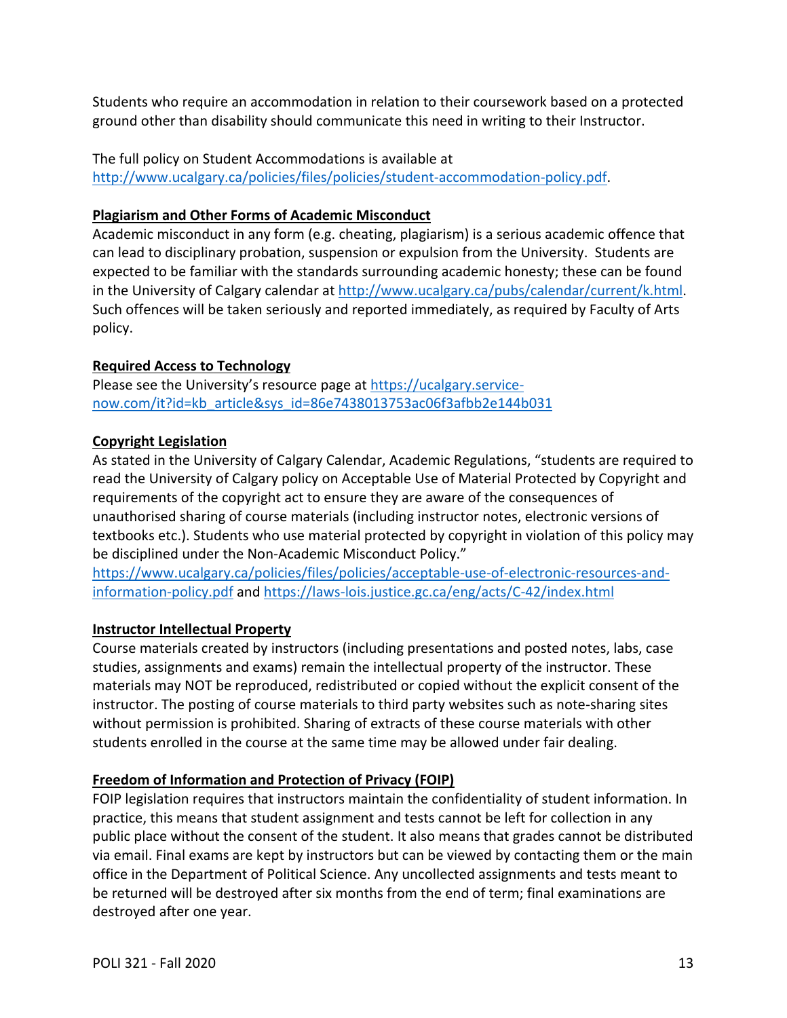Students who require an accommodation in relation to their coursework based on a protected ground other than disability should communicate this need in writing to their Instructor.

The full policy on Student Accommodations is available at [http://www.ucalgary.ca/policies/files/policies/student-accommodation-policy.pdf.](http://www.ucalgary.ca/policies/files/policies/student-accommodation-policy.pdf)

# **Plagiarism and Other Forms of Academic Misconduct**

Academic misconduct in any form (e.g. cheating, plagiarism) is a serious academic offence that can lead to disciplinary probation, suspension or expulsion from the University. Students are expected to be familiar with the standards surrounding academic honesty; these can be found in the University of Calgary calendar at [http://www.ucalgary.ca/pubs/calendar/current/k.html.](http://www.ucalgary.ca/pubs/calendar/current/k.html) Such offences will be taken seriously and reported immediately, as required by Faculty of Arts policy.

# **Required Access to Technology**

Please see the University's resource page at [https://ucalgary.service](https://ucalgary.service-now.com/it?id=kb_article&sys_id=86e7438013753ac06f3afbb2e144b031)[now.com/it?id=kb\\_article&sys\\_id=86e7438013753ac06f3afbb2e144b031](https://ucalgary.service-now.com/it?id=kb_article&sys_id=86e7438013753ac06f3afbb2e144b031)

# **Copyright Legislation**

As stated in the University of Calgary Calendar, Academic Regulations, "students are required to read the University of Calgary policy on Acceptable Use of Material Protected by Copyright and requirements of the copyright act to ensure they are aware of the consequences of unauthorised sharing of course materials (including instructor notes, electronic versions of textbooks etc.). Students who use material protected by copyright in violation of this policy may be disciplined under the Non-Academic Misconduct Policy."

[https://www.ucalgary.ca/policies/files/policies/acceptable-use-of-electronic-resources-and](https://www.ucalgary.ca/policies/files/policies/acceptable-use-of-electronic-resources-and-information-policy.pdf)[information-policy.pdf](https://www.ucalgary.ca/policies/files/policies/acceptable-use-of-electronic-resources-and-information-policy.pdf) and<https://laws-lois.justice.gc.ca/eng/acts/C-42/index.html>

# **Instructor Intellectual Property**

Course materials created by instructors (including presentations and posted notes, labs, case studies, assignments and exams) remain the intellectual property of the instructor. These materials may NOT be reproduced, redistributed or copied without the explicit consent of the instructor. The posting of course materials to third party websites such as note-sharing sites without permission is prohibited. Sharing of extracts of these course materials with other students enrolled in the course at the same time may be allowed under fair dealing.

# **Freedom of Information and Protection of Privacy (FOIP)**

FOIP legislation requires that instructors maintain the confidentiality of student information. In practice, this means that student assignment and tests cannot be left for collection in any public place without the consent of the student. It also means that grades cannot be distributed via email. Final exams are kept by instructors but can be viewed by contacting them or the main office in the Department of Political Science. Any uncollected assignments and tests meant to be returned will be destroyed after six months from the end of term; final examinations are destroyed after one year.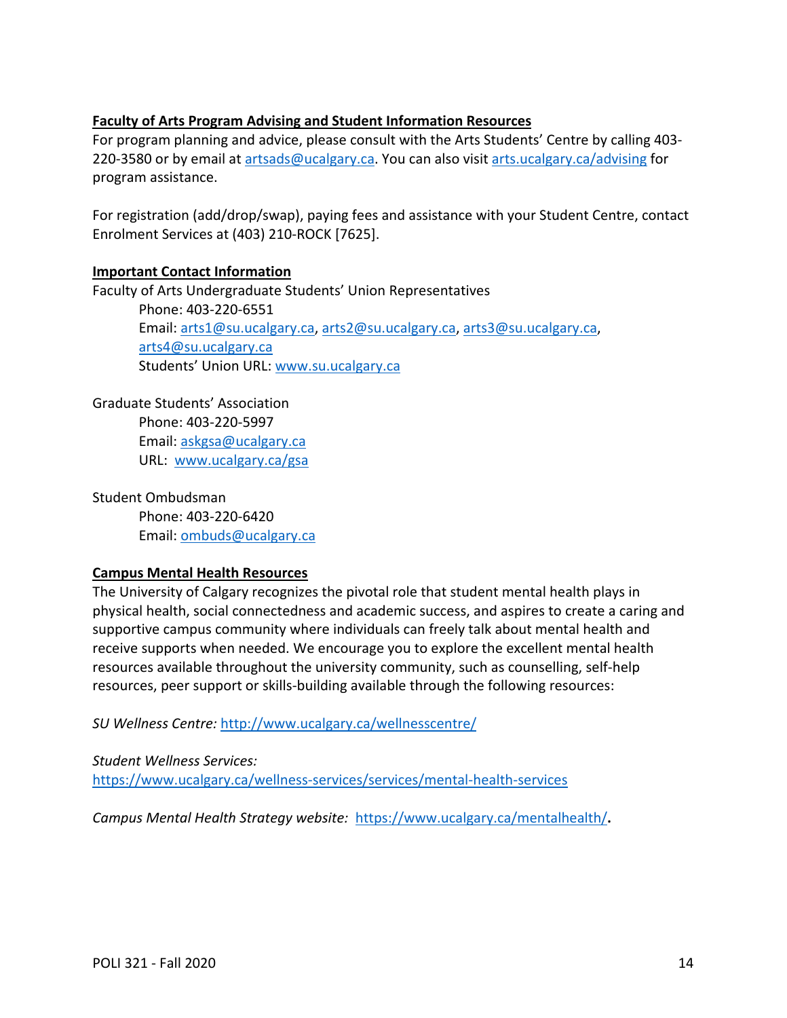#### **Faculty of Arts Program Advising and Student Information Resources**

For program planning and advice, please consult with the Arts Students' Centre by calling 403- 220-3580 or by email at [artsads@ucalgary.ca.](mailto:artsads@ucalgary.ca) You can also visit [arts.ucalgary.ca/advising](http://arts.ucalgary.ca/advising) for program assistance.

For registration (add/drop/swap), paying fees and assistance with your Student Centre, contact Enrolment Services at (403) 210-ROCK [7625].

#### **Important Contact Information**

Faculty of Arts Undergraduate Students' Union Representatives Phone: 403-220-6551 Email: [arts1@su.ucalgary.ca,](mailto:arts1@su.ucalgary.ca) [arts2@su.ucalgary.ca,](mailto:arts2@su.ucalgary.ca) [arts3@su.ucalgary.ca,](mailto:arts3@su.ucalgary.ca) [arts4@su.ucalgary.ca](mailto:arts4@su.ucalgary.ca) Students' Union URL: [www.su.ucalgary.ca](http://www.su.ucalgary.ca/)

Graduate Students' Association Phone: 403-220-5997 Email: [askgsa@ucalgary.ca](mailto:askgsa@ucalgary.ca) URL: [www.ucalgary.ca/gsa](http://www.ucalgary.ca/gsa)

Student Ombudsman Phone: 403-220-6420 Email: [ombuds@ucalgary.ca](mailto:ombuds@ucalgary.ca)

#### **Campus Mental Health Resources**

The University of Calgary recognizes the pivotal role that student mental health plays in physical health, social connectedness and academic success, and aspires to create a caring and supportive campus community where individuals can freely talk about mental health and receive supports when needed. We encourage you to explore the excellent mental health resources available throughout the university community, such as counselling, self-help resources, peer support or skills-building available through the following resources:

*SU Wellness Centre:* <http://www.ucalgary.ca/wellnesscentre/>

*Student Wellness Services:* <https://www.ucalgary.ca/wellness-services/services/mental-health-services>

*Campus Mental Health Strategy website:* <https://www.ucalgary.ca/mentalhealth/>**.**